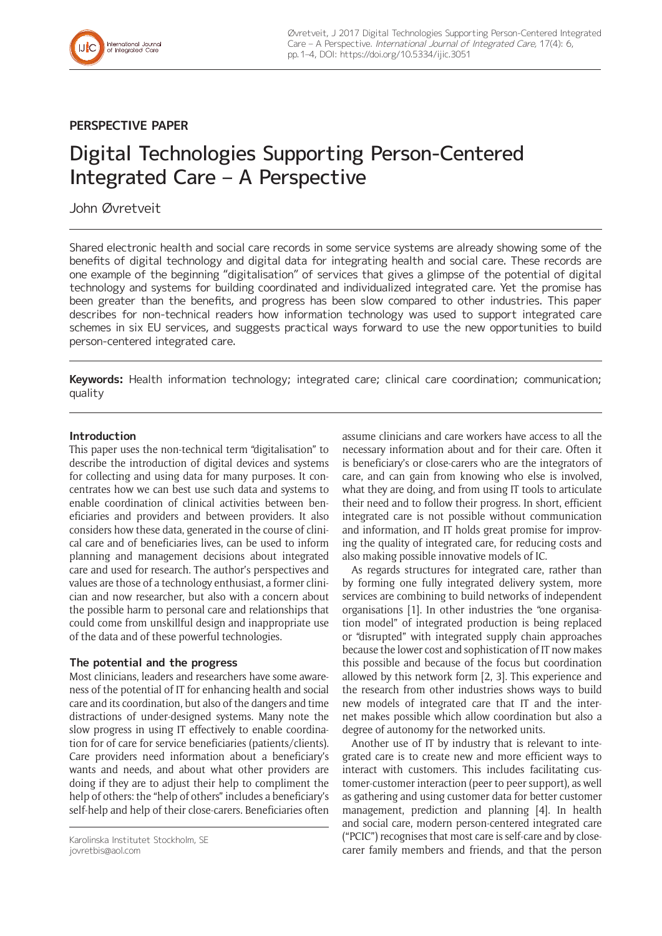

# **PERSPECTIVE PAPER**

# Digital Technologies Supporting Person-Centered Integrated Care – A Perspective

# John Øvretveit

Shared electronic health and social care records in some service systems are already showing some of the benefits of digital technology and digital data for integrating health and social care. These records are one example of the beginning "digitalisation" of services that gives a glimpse of the potential of digital technology and systems for building coordinated and individualized integrated care. Yet the promise has been greater than the benefits, and progress has been slow compared to other industries. This paper describes for non-technical readers how information technology was used to support integrated care schemes in six EU services, and suggests practical ways forward to use the new opportunities to build person-centered integrated care.

**Keywords:** Health information technology; integrated care; clinical care coordination; communication; quality

## **Introduction**

This paper uses the non-technical term "digitalisation" to describe the introduction of digital devices and systems for collecting and using data for many purposes. It concentrates how we can best use such data and systems to enable coordination of clinical activities between beneficiaries and providers and between providers. It also considers how these data, generated in the course of clinical care and of beneficiaries lives, can be used to inform planning and management decisions about integrated care and used for research. The author's perspectives and values are those of a technology enthusiast, a former clinician and now researcher, but also with a concern about the possible harm to personal care and relationships that could come from unskillful design and inappropriate use of the data and of these powerful technologies.

#### **The potential and the progress**

Most clinicians, leaders and researchers have some awareness of the potential of IT for enhancing health and social care and its coordination, but also of the dangers and time distractions of under-designed systems. Many note the slow progress in using IT effectively to enable coordination for of care for service beneficiaries (patients/clients). Care providers need information about a beneficiary's wants and needs, and about what other providers are doing if they are to adjust their help to compliment the help of others: the "help of others" includes a beneficiary's self-help and help of their close-carers. Beneficiaries often

assume clinicians and care workers have access to all the necessary information about and for their care. Often it is beneficiary's or close-carers who are the integrators of care, and can gain from knowing who else is involved, what they are doing, and from using IT tools to articulate their need and to follow their progress. In short, efficient integrated care is not possible without communication and information, and IT holds great promise for improving the quality of integrated care, for reducing costs and also making possible innovative models of IC.

As regards structures for integrated care, rather than by forming one fully integrated delivery system, more services are combining to build networks of independent organisations [1]. In other industries the "one organisation model" of integrated production is being replaced or "disrupted" with integrated supply chain approaches because the lower cost and sophistication of IT now makes this possible and because of the focus but coordination allowed by this network form [2, 3]. This experience and the research from other industries shows ways to build new models of integrated care that IT and the internet makes possible which allow coordination but also a degree of autonomy for the networked units.

Another use of IT by industry that is relevant to integrated care is to create new and more efficient ways to interact with customers. This includes facilitating customer-customer interaction (peer to peer support), as well as gathering and using customer data for better customer management, prediction and planning [4]. In health and social care, modern person-centered integrated care ("PCIC") recognises that most care is self-care and by closecarer family members and friends, and that the person

Karolinska Institutet Stockholm, SE [jovretbis@aol.com](mailto:jovretbis@aol.com)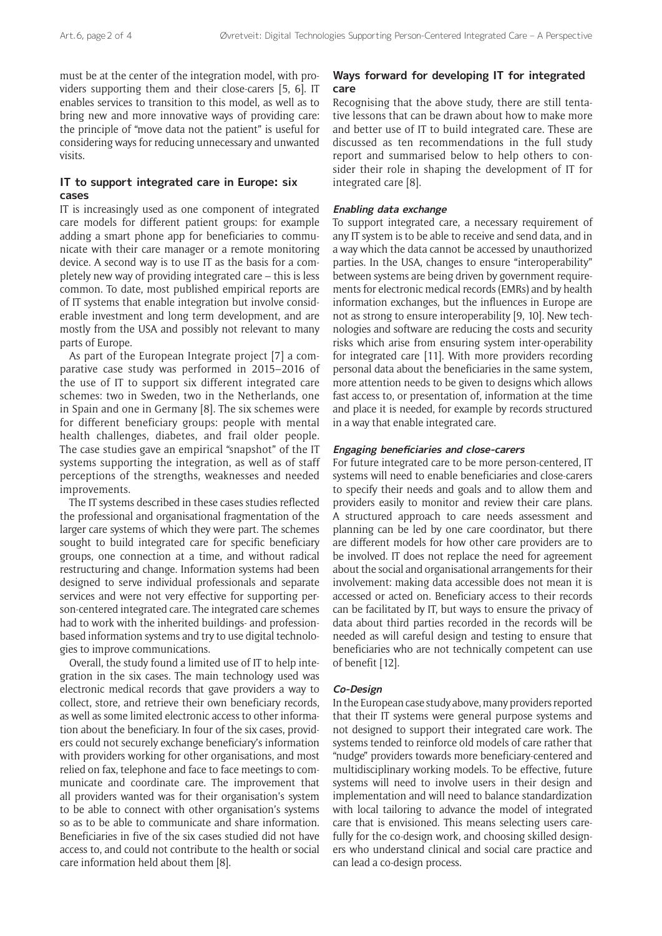must be at the center of the integration model, with providers supporting them and their close-carers [5, 6]. IT enables services to transition to this model, as well as to bring new and more innovative ways of providing care: the principle of "move data not the patient" is useful for considering ways for reducing unnecessary and unwanted visits.

### **IT to support integrated care in Europe: six cases**

IT is increasingly used as one component of integrated care models for different patient groups: for example adding a smart phone app for beneficiaries to communicate with their care manager or a remote monitoring device. A second way is to use IT as the basis for a completely new way of providing integrated care – this is less common. To date, most published empirical reports are of IT systems that enable integration but involve considerable investment and long term development, and are mostly from the USA and possibly not relevant to many parts of Europe.

As part of the European Integrate project [7] a comparative case study was performed in 2015–2016 of the use of IT to support six different integrated care schemes: two in Sweden, two in the Netherlands, one in Spain and one in Germany [8]. The six schemes were for different beneficiary groups: people with mental health challenges, diabetes, and frail older people. The case studies gave an empirical "snapshot" of the IT systems supporting the integration, as well as of staff perceptions of the strengths, weaknesses and needed improvements.

The IT systems described in these cases studies reflected the professional and organisational fragmentation of the larger care systems of which they were part. The schemes sought to build integrated care for specific beneficiary groups, one connection at a time, and without radical restructuring and change. Information systems had been designed to serve individual professionals and separate services and were not very effective for supporting person-centered integrated care. The integrated care schemes had to work with the inherited buildings- and professionbased information systems and try to use digital technologies to improve communications.

Overall, the study found a limited use of IT to help integration in the six cases. The main technology used was electronic medical records that gave providers a way to collect, store, and retrieve their own beneficiary records, as well as some limited electronic access to other information about the beneficiary. In four of the six cases, providers could not securely exchange beneficiary's information with providers working for other organisations, and most relied on fax, telephone and face to face meetings to communicate and coordinate care. The improvement that all providers wanted was for their organisation's system to be able to connect with other organisation's systems so as to be able to communicate and share information. Beneficiaries in five of the six cases studied did not have access to, and could not contribute to the health or social care information held about them [8].

## **Ways forward for developing IT for integrated care**

Recognising that the above study, there are still tentative lessons that can be drawn about how to make more and better use of IT to build integrated care. These are discussed as ten recommendations in the full study report and summarised below to help others to consider their role in shaping the development of IT for integrated care [8].

#### **Enabling data exchange**

To support integrated care, a necessary requirement of any IT system is to be able to receive and send data, and in a way which the data cannot be accessed by unauthorized parties. In the USA, changes to ensure "interoperability" between systems are being driven by government requirements for electronic medical records (EMRs) and by health information exchanges, but the influences in Europe are not as strong to ensure interoperability [9, 10]. New technologies and software are reducing the costs and security risks which arise from ensuring system inter-operability for integrated care [11]. With more providers recording personal data about the beneficiaries in the same system, more attention needs to be given to designs which allows fast access to, or presentation of, information at the time and place it is needed, for example by records structured in a way that enable integrated care.

#### **Engaging beneficiaries and close-carers**

For future integrated care to be more person-centered, IT systems will need to enable beneficiaries and close-carers to specify their needs and goals and to allow them and providers easily to monitor and review their care plans. A structured approach to care needs assessment and planning can be led by one care coordinator, but there are different models for how other care providers are to be involved. IT does not replace the need for agreement about the social and organisational arrangements for their involvement: making data accessible does not mean it is accessed or acted on. Beneficiary access to their records can be facilitated by IT, but ways to ensure the privacy of data about third parties recorded in the records will be needed as will careful design and testing to ensure that beneficiaries who are not technically competent can use of benefit [12].

#### **Co-Design**

In the European case study above, many providers reported that their IT systems were general purpose systems and not designed to support their integrated care work. The systems tended to reinforce old models of care rather that "nudge" providers towards more beneficiary-centered and multidisciplinary working models. To be effective, future systems will need to involve users in their design and implementation and will need to balance standardization with local tailoring to advance the model of integrated care that is envisioned. This means selecting users carefully for the co-design work, and choosing skilled designers who understand clinical and social care practice and can lead a co-design process.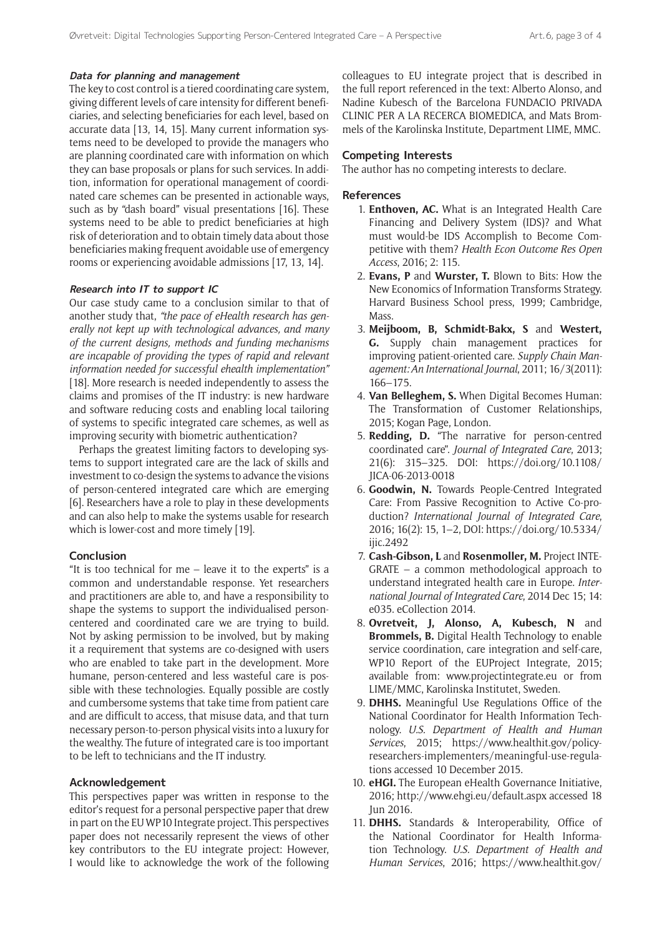#### **Data for planning and management**

The key to cost control is a tiered coordinating care system, giving different levels of care intensity for different beneficiaries, and selecting beneficiaries for each level, based on accurate data [13, 14, 15]. Many current information systems need to be developed to provide the managers who are planning coordinated care with information on which they can base proposals or plans for such services. In addition, information for operational management of coordinated care schemes can be presented in actionable ways, such as by "dash board" visual presentations [16]. These systems need to be able to predict beneficiaries at high risk of deterioration and to obtain timely data about those beneficiaries making frequent avoidable use of emergency rooms or experiencing avoidable admissions [17, 13, 14].

#### **Research into IT to support IC**

Our case study came to a conclusion similar to that of another study that, *"the pace of eHealth research has generally not kept up with technological advances, and many of the current designs, methods and funding mechanisms are incapable of providing the types of rapid and relevant information needed for successful ehealth implementation"* [18]. More research is needed independently to assess the claims and promises of the IT industry: is new hardware and software reducing costs and enabling local tailoring of systems to specific integrated care schemes, as well as improving security with biometric authentication?

Perhaps the greatest limiting factors to developing systems to support integrated care are the lack of skills and investment to co-design the systems to advance the visions of person-centered integrated care which are emerging [6]. Researchers have a role to play in these developments and can also help to make the systems usable for research which is lower-cost and more timely [19].

#### **Conclusion**

"It is too technical for me – leave it to the experts" is a common and understandable response. Yet researchers and practitioners are able to, and have a responsibility to shape the systems to support the individualised personcentered and coordinated care we are trying to build. Not by asking permission to be involved, but by making it a requirement that systems are co-designed with users who are enabled to take part in the development. More humane, person-centered and less wasteful care is possible with these technologies. Equally possible are costly and cumbersome systems that take time from patient care and are difficult to access, that misuse data, and that turn necessary person-to-person physical visits into a luxury for the wealthy. The future of integrated care is too important to be left to technicians and the IT industry.

#### **Acknowledgement**

This perspectives paper was written in response to the editor's request for a personal perspective paper that drew in part on the EU WP10 Integrate project. This perspectives paper does not necessarily represent the views of other key contributors to the EU integrate project: However, I would like to acknowledge the work of the following colleagues to EU integrate project that is described in the full report referenced in the text: Alberto Alonso, and Nadine Kubesch of the Barcelona FUNDACIO PRIVADA CLINIC PER A LA RECERCA BIOMEDICA, and Mats Brommels of the Karolinska Institute, Department LIME, MMC.

#### **Competing Interests**

The author has no competing interests to declare.

#### **References**

- 1. **Enthoven, AC.** What is an Integrated Health Care Financing and Delivery System (IDS)? and What must would-be IDS Accomplish to Become Competitive with them? *Health Econ Outcome Res Open Access*, 2016; 2: 115.
- 2. **Evans, P** and **Wurster, T.** Blown to Bits: How the New Economics of Information Transforms Strategy. Harvard Business School press, 1999; Cambridge, Mass.
- 3. **Meijboom, B, Schmidt-Bakx, S** and **Westert, G.** Supply chain management practices for improving patient-oriented care. *Supply Chain Management: An International Journal*, 2011; 16/3(2011): 166–175.
- 4. **Van Belleghem, S.** When Digital Becomes Human: The Transformation of Customer Relationships, 2015; Kogan Page, London.
- 5. **Redding, D.** "The narrative for person-centred coordinated care". *Journal of Integrated Care*, 2013; 21(6): 315–325. DOI: [https://doi.org/10.1108/](https://doi.org/10.1108/JICA-06-2013-0018) [JICA-06-2013-0018](https://doi.org/10.1108/JICA-06-2013-0018)
- 6. **Goodwin, N.** Towards People-Centred Integrated Care: From Passive Recognition to Active Co-production? *International Journal of Integrated Care*, 2016; 16(2): 15, 1–2, DOI: [https://doi.org/10.5334/](https://doi.org/10.5334/ ijic.2492) [ijic.2492](https://doi.org/10.5334/ ijic.2492)
- 7. **Cash-Gibson, L** and **Rosenmoller, M.** Project INTE-GRATE – a common methodological approach to understand integrated health care in Europe. *International Journal of Integrated Care*, 2014 Dec 15; 14: e035. eCollection 2014.
- 8. **Ovretveit, J, Alonso, A, Kubesch, N** and **Brommels, B.** Digital Health Technology to enable service coordination, care integration and self-care, WP10 Report of the EUProject Integrate, 2015; available from: <www.projectintegrate.eu> or from LIME/MMC, Karolinska Institutet, Sweden.
- 9. **DHHS.** Meaningful Use Regulations Office of the National Coordinator for Health Information Technology. *U.S. Department of Health and Human Services*, 2015; [https://www.healthit.gov/policy](https://www.healthit.gov/policy-researchers-implementers/meaningful-use-regulations)[researchers-implementers/meaningful-use-regula](https://www.healthit.gov/policy-researchers-implementers/meaningful-use-regulations)[tions](https://www.healthit.gov/policy-researchers-implementers/meaningful-use-regulations) accessed 10 December 2015.
- 10. **eHGI.** The European eHealth Governance Initiative, 2016; <http://www.ehgi.eu/default.aspx>accessed 18 Jun 2016.
- 11. **DHHS.** Standards & Interoperability, Office of the National Coordinator for Health Information Technology. *U.S. Department of Health and Human Services*, 2016; [https://www.healthit.gov/](https://www.healthit.gov/providers-professionals/standards-interoperability)